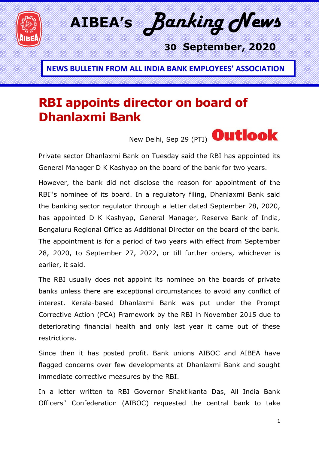

**NEWS BULLETIN FROM ALL INDIA BANK EMPLOYEES' ASSOCIATION**

## **RBI appoints director on board of Dhanlaxmi Bank**



Private sector Dhanlaxmi Bank on Tuesday said the RBI has appointed its General Manager D K Kashyap on the board of the bank for two years.

However, the bank did not disclose the reason for appointment of the RBI''s nominee of its board. In a regulatory filing, Dhanlaxmi Bank said the banking sector regulator through a letter dated September 28, 2020, has appointed D K Kashyap, General Manager, Reserve Bank of India, Bengaluru Regional Office as Additional Director on the board of the bank. The appointment is for a period of two years with effect from September 28, 2020, to September 27, 2022, or till further orders, whichever is earlier, it said.

The RBI usually does not appoint its nominee on the boards of private banks unless there are exceptional circumstances to avoid any conflict of interest. Kerala-based Dhanlaxmi Bank was put under the Prompt Corrective Action (PCA) Framework by the RBI in November 2015 due to deteriorating financial health and only last year it came out of these restrictions.

Since then it has posted profit. Bank unions AIBOC and AIBEA have flagged concerns over few developments at Dhanlaxmi Bank and sought immediate corrective measures by the RBI.

In a letter written to RBI Governor Shaktikanta Das, All India Bank Officers'' Confederation (AIBOC) requested the central bank to take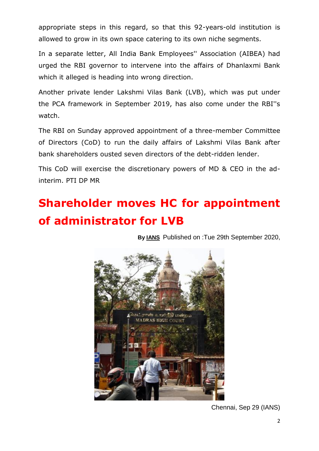appropriate steps in this regard, so that this 92-years-old institution is allowed to grow in its own space catering to its own niche segments.

In a separate letter, All India Bank Employees'' Association (AIBEA) had urged the RBI governor to intervene into the affairs of Dhanlaxmi Bank which it alleged is heading into wrong direction.

Another private lender Lakshmi Vilas Bank (LVB), which was put under the PCA framework in September 2019, has also come under the RBI''s watch.

The RBI on Sunday approved appointment of a three-member Committee of Directors (CoD) to run the daily affairs of Lakshmi Vilas Bank after bank shareholders ousted seven directors of the debt-ridden lender.

This CoD will exercise the discretionary powers of MD & CEO in the adinterim. PTI DP MR

## **Shareholder moves HC for appointment of administrator for LVB**

**By [IANS](https://newsd.in/author/ians/)** Published on :Tue 29th September 2020,



Chennai, Sep 29 (IANS)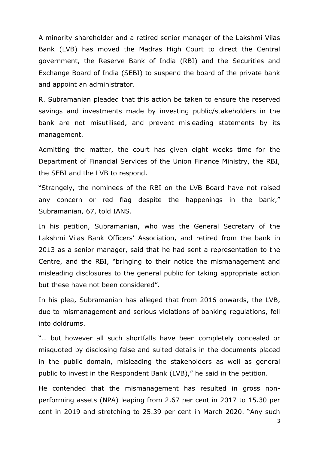A minority shareholder and a retired senior manager of the Lakshmi Vilas Bank (LVB) has moved the Madras High Court to direct the Central government, the Reserve Bank of India (RBI) and the Securities and Exchange Board of India (SEBI) to suspend the board of the private bank and appoint an administrator.

R. Subramanian pleaded that this action be taken to ensure the reserved savings and investments made by investing public/stakeholders in the bank are not misutilised, and prevent misleading statements by its management.

Admitting the matter, the court has given eight weeks time for the Department of Financial Services of the Union Finance Ministry, the RBI, the SEBI and the LVB to respond.

―Strangely, the nominees of the RBI on the LVB Board have not raised any concern or red flag despite the happenings in the bank," Subramanian, 67, told IANS.

In his petition, Subramanian, who was the General Secretary of the Lakshmi Vilas Bank Officers' Association, and retired from the bank in 2013 as a senior manager, said that he had sent a representation to the Centre, and the RBI, "bringing to their notice the mismanagement and misleading disclosures to the general public for taking appropriate action but these have not been considered".

In his plea, Subramanian has alleged that from 2016 onwards, the LVB, due to mismanagement and serious violations of banking regulations, fell into doldrums.

"... but however all such shortfalls have been completely concealed or misquoted by disclosing false and suited details in the documents placed in the public domain, misleading the stakeholders as well as general public to invest in the Respondent Bank (LVB)," he said in the petition.

He contended that the mismanagement has resulted in gross nonperforming assets (NPA) leaping from 2.67 per cent in 2017 to 15.30 per cent in 2019 and stretching to 25.39 per cent in March 2020. "Any such

3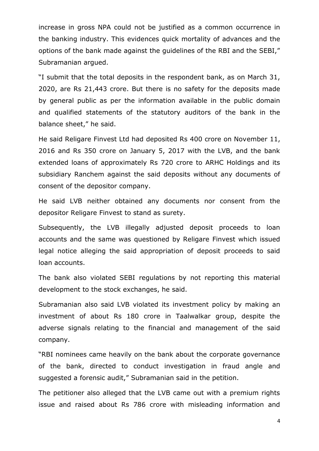increase in gross NPA could not be justified as a common occurrence in the banking industry. This evidences quick mortality of advances and the options of the bank made against the guidelines of the RBI and the SEBI," Subramanian argued.

―I submit that the total deposits in the respondent bank, as on March 31, 2020, are Rs 21,443 crore. But there is no safety for the deposits made by general public as per the information available in the public domain and qualified statements of the statutory auditors of the bank in the balance sheet," he said.

He said Religare Finvest Ltd had deposited Rs 400 crore on November 11, 2016 and Rs 350 crore on January 5, 2017 with the LVB, and the bank extended loans of approximately Rs 720 crore to ARHC Holdings and its subsidiary Ranchem against the said deposits without any documents of consent of the depositor company.

He said LVB neither obtained any documents nor consent from the depositor Religare Finvest to stand as surety.

Subsequently, the LVB illegally adjusted deposit proceeds to loan accounts and the same was questioned by Religare Finvest which issued legal notice alleging the said appropriation of deposit proceeds to said loan accounts.

The bank also violated SEBI regulations by not reporting this material development to the stock exchanges, he said.

Subramanian also said LVB violated its investment policy by making an investment of about Rs 180 crore in Taalwalkar group, despite the adverse signals relating to the financial and management of the said company.

"RBI nominees came heavily on the bank about the corporate governance of the bank, directed to conduct investigation in fraud angle and suggested a forensic audit," Subramanian said in the petition.

The petitioner also alleged that the LVB came out with a premium rights issue and raised about Rs 786 crore with misleading information and

4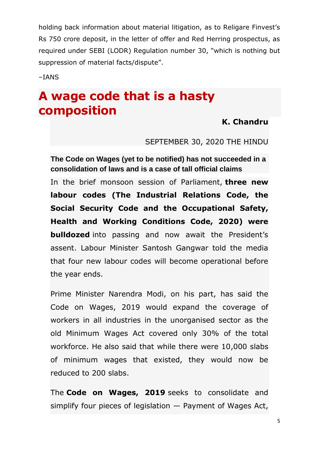holding back information about material litigation, as to Religare Finvest's Rs 750 crore deposit, in the letter of offer and Red Herring prospectus, as required under SEBI (LODR) Requlation number 30, "which is nothing but suppression of material facts/dispute".

–IANS

### **A wage code that is a hasty composition**

#### **[K. Chandru](https://www.thehindu.com/profile/author/K-Chandru-5718/)**

SEPTEMBER 30, 2020 THE HINDU

**The Code on Wages (yet to be notified) has not succeeded in a consolidation of laws and is a case of tall official claims**

In the brief monsoon session of Parliament, **[three new](https://www.thehindu.com/news/national/parliament-passes-three-key-labour-reform-bills/article32675729.ece)  [labour codes \(The Industrial Relations Code, the](https://www.thehindu.com/news/national/parliament-passes-three-key-labour-reform-bills/article32675729.ece)  [Social Security Code and the Occupational Safety,](https://www.thehindu.com/news/national/parliament-passes-three-key-labour-reform-bills/article32675729.ece)  [Health and Working Conditions Code, 2020\) were](https://www.thehindu.com/news/national/parliament-passes-three-key-labour-reform-bills/article32675729.ece)  [bulldozed](https://www.thehindu.com/news/national/parliament-passes-three-key-labour-reform-bills/article32675729.ece)** into passing and now await the President's assent. Labour Minister Santosh Gangwar told the media that four new labour codes will become operational before the year ends.

Prime Minister Narendra Modi, on his part, has said the Code on Wages, 2019 would expand the coverage of workers in all industries in the unorganised sector as the old Minimum Wages Act covered only 30% of the total workforce. He also said that while there were 10,000 slabs of minimum wages that existed, they would now be reduced to 200 slabs.

The **[Code on Wages, 2019](http://egazette.nic.in/WriteReadData/2019/210356.pdf)** seeks to consolidate and simplify four pieces of legislation — Payment of Wages Act,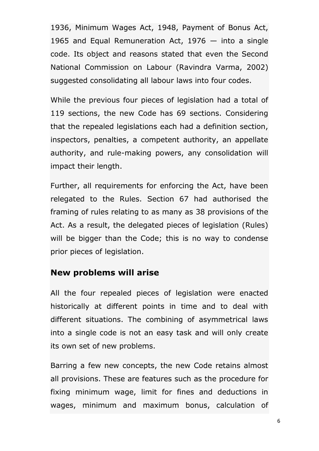1936, Minimum Wages Act, 1948, Payment of Bonus Act, 1965 and Equal Remuneration Act, 1976 — into a single code. Its object and reasons stated that even the Second National Commission on Labour (Ravindra Varma, 2002) suggested consolidating all labour laws into four codes.

While the previous four pieces of legislation had a total of 119 sections, the new Code has 69 sections. Considering that the repealed legislations each had a definition section, inspectors, penalties, a competent authority, an appellate authority, and rule-making powers, any consolidation will impact their length.

Further, all requirements for enforcing the Act, have been relegated to the Rules. Section 67 had authorised the framing of rules relating to as many as 38 provisions of the Act. As a result, the delegated pieces of legislation (Rules) will be bigger than the Code; this is no way to condense prior pieces of legislation.

#### **New problems will arise**

All the four repealed pieces of legislation were enacted historically at different points in time and to deal with different situations. The combining of asymmetrical laws into a single code is not an easy task and will only create its own set of new problems.

Barring a few new concepts, the new Code retains almost all provisions. These are features such as the procedure for fixing minimum wage, limit for fines and deductions in wages, minimum and maximum bonus, calculation of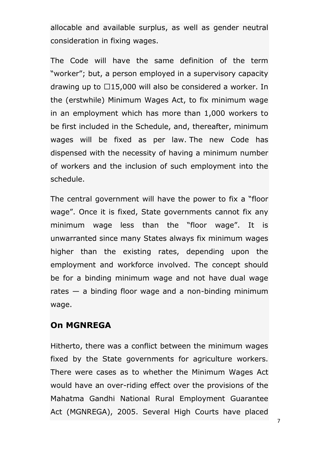allocable and available surplus, as well as gender neutral consideration in fixing wages.

The Code will have the same definition of the term "worker"; but, a person employed in a supervisory capacity drawing up to  $\Box$ 15,000 will also be considered a worker. In the (erstwhile) Minimum Wages Act, to fix minimum wage in an employment which has more than 1,000 workers to be first included in the Schedule, and, thereafter, minimum wages will be fixed as per law. The new Code has dispensed with the necessity of having a minimum number of workers and the inclusion of such employment into the schedule.

The central government will have the power to fix a "floor" wage". Once it is fixed, State governments cannot fix any minimum wage less than the "floor wage". It is unwarranted since many States always fix minimum wages higher than the existing rates, depending upon the employment and workforce involved. The concept should be for a binding minimum wage and not have dual wage rates  $-$  a binding floor wage and a non-binding minimum wage.

#### **On MGNREGA**

Hitherto, there was a conflict between the minimum wages fixed by the State governments for agriculture workers. There were cases as to whether the Minimum Wages Act would have an over-riding effect over the provisions of the Mahatma Gandhi National Rural Employment Guarantee Act (MGNREGA), 2005. Several High Courts have placed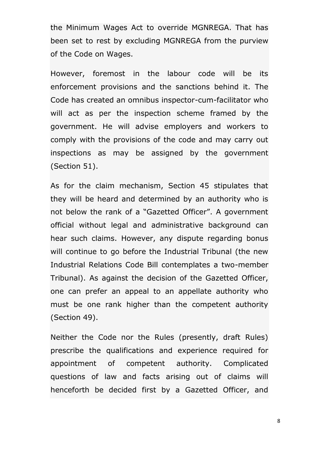the Minimum Wages Act to override MGNREGA. That has been set to rest by excluding MGNREGA from the purview of the Code on Wages.

However, foremost in the labour code will be its enforcement provisions and the sanctions behind it. The Code has created an omnibus inspector-cum-facilitator who will act as per the inspection scheme framed by the government. He will advise employers and workers to comply with the provisions of the code and may carry out inspections as may be assigned by the government (Section 51).

As for the claim mechanism, Section 45 stipulates that they will be heard and determined by an authority who is not below the rank of a "Gazetted Officer". A government official without legal and administrative background can hear such claims. However, any dispute regarding bonus will continue to go before the Industrial Tribunal (the new Industrial Relations Code Bill contemplates a two-member Tribunal). As against the decision of the Gazetted Officer, one can prefer an appeal to an appellate authority who must be one rank higher than the competent authority (Section 49).

Neither the Code nor the Rules (presently, draft Rules) prescribe the qualifications and experience required for appointment of competent authority. Complicated questions of law and facts arising out of claims will henceforth be decided first by a Gazetted Officer, and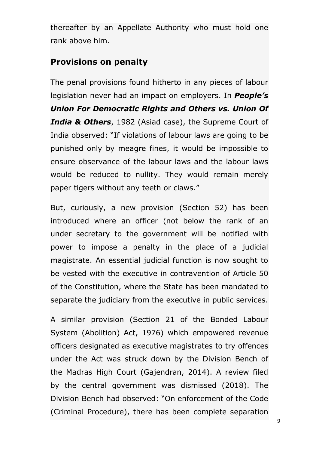thereafter by an Appellate Authority who must hold one rank above him.

### **Provisions on penalty**

The penal provisions found hitherto in any pieces of labour legislation never had an impact on employers. In *People's Union For Democratic Rights and Others vs. Union Of India & Others*, 1982 (Asiad case), the Supreme Court of India observed: "If violations of labour laws are going to be punished only by meagre fines, it would be impossible to ensure observance of the labour laws and the labour laws would be reduced to nullity. They would remain merely paper tigers without any teeth or claws."

But, curiously, a new provision (Section 52) has been introduced where an officer (not below the rank of an under secretary to the government will be notified with power to impose a penalty in the place of a judicial magistrate. An essential judicial function is now sought to be vested with the executive in contravention of Article 50 of the Constitution, where the State has been mandated to separate the judiciary from the executive in public services.

A similar provision (Section 21 of the Bonded Labour System (Abolition) Act, 1976) which empowered revenue officers designated as executive magistrates to try offences under the Act was struck down by the Division Bench of the Madras High Court (Gajendran, 2014). A review filed by the central government was dismissed (2018). The Division Bench had observed: "On enforcement of the Code" (Criminal Procedure), there has been complete separation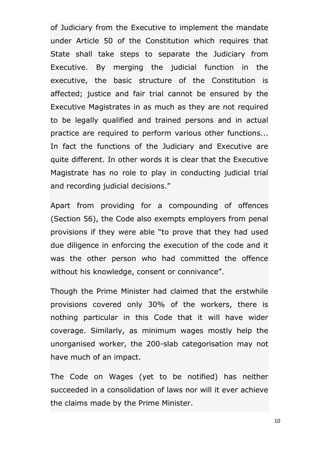of Judiciary from the Executive to implement the mandate under Article 50 of the Constitution which requires that State shall take steps to separate the Judiciary from Executive. By merging the judicial function in the executive, the basic structure of the Constitution is affected; justice and fair trial cannot be ensured by the Executive Magistrates in as much as they are not required to be legally qualified and trained persons and in actual practice are required to perform various other functions... In fact the functions of the Judiciary and Executive are quite different. In other words it is clear that the Executive Magistrate has no role to play in conducting judicial trial and recording judicial decisions."

Apart from providing for a compounding of offences (Section 56), the Code also exempts employers from penal provisions if they were able "to prove that they had used due diligence in enforcing the execution of the code and it was the other person who had committed the offence without his knowledge, consent or connivance".

Though the Prime Minister had claimed that the erstwhile provisions covered only 30% of the workers, there is nothing particular in this Code that it will have wider coverage. Similarly, as minimum wages mostly help the unorganised worker, the 200-slab categorisation may not have much of an impact.

The Code on Wages (yet to be notified) has neither succeeded in a consolidation of laws nor will it ever achieve the claims made by the Prime Minister.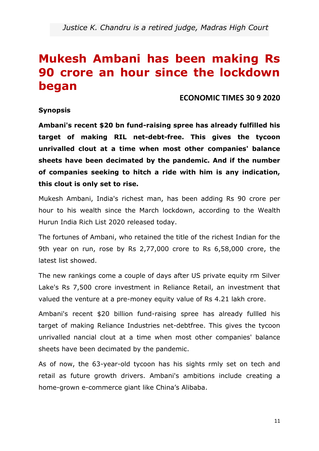### **Mukesh Ambani has been making Rs 90 crore an hour since the lockdown began**

**ECONOMIC TIMES 30 9 2020**

#### **Synopsis**

**Ambani's recent \$20 bn fund-raising spree has already fulfilled his target of making RIL net-debt-free. This gives the tycoon unrivalled clout at a time when most other companies' balance sheets have been decimated by the pandemic. And if the number of companies seeking to hitch a ride with him is any indication, this clout is only set to rise.**

Mukesh Ambani, India's richest man, has been adding Rs 90 crore per hour to his wealth since the March lockdown, according to the Wealth Hurun India Rich List 2020 released today.

The fortunes of Ambani, who retained the title of the richest Indian for the 9th year on run, rose by Rs 2,77,000 crore to Rs 6,58,000 crore, the latest list showed.

The new rankings come a couple of days after US private equity rm Silver Lake's Rs 7,500 crore investment in Reliance Retail, an investment that valued the venture at a pre-money equity value of Rs 4.21 lakh crore.

Ambani's recent \$20 billion fund-raising spree has already fullled his target of making Reliance Industries net-debtfree. This gives the tycoon unrivalled nancial clout at a time when most other companies' balance sheets have been decimated by the pandemic.

As of now, the 63-year-old tycoon has his sights rmly set on tech and retail as future growth drivers. Ambani's ambitions include creating a home-grown e-commerce giant like China's Alibaba.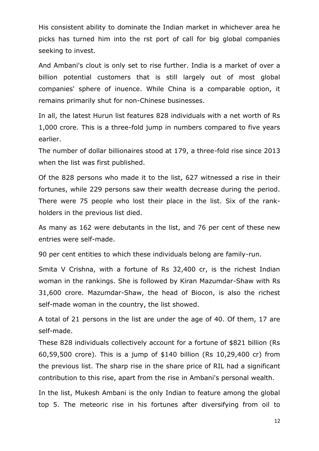His consistent ability to dominate the Indian market in whichever area he picks has turned him into the rst port of call for big global companies seeking to invest.

And Ambani's clout is only set to rise further. India is a market of over a billion potential customers that is still largely out of most global companies' sphere of inuence. While China is a comparable option, it remains primarily shut for non-Chinese businesses.

In all, the latest Hurun list features 828 individuals with a net worth of Rs 1,000 crore. This is a three-fold jump in numbers compared to five years earlier.

The number of dollar billionaires stood at 179, a three-fold rise since 2013 when the list was first published.

Of the 828 persons who made it to the list, 627 witnessed a rise in their fortunes, while 229 persons saw their wealth decrease during the period. There were 75 people who lost their place in the list. Six of the rankholders in the previous list died.

As many as 162 were debutants in the list, and 76 per cent of these new entries were self-made.

90 per cent entities to which these individuals belong are family-run.

Smita V Crishna, with a fortune of Rs 32,400 cr, is the richest Indian woman in the rankings. She is followed by Kiran Mazumdar-Shaw with Rs 31,600 crore. Mazumdar-Shaw, the head of Biocon, is also the richest self-made woman in the country, the list showed.

A total of 21 persons in the list are under the age of 40. Of them, 17 are self-made.

These 828 individuals collectively account for a fortune of \$821 billion (Rs 60,59,500 crore). This is a jump of \$140 billion (Rs 10,29,400 cr) from the previous list. The sharp rise in the share price of RIL had a significant contribution to this rise, apart from the rise in Ambani's personal wealth.

In the list, Mukesh Ambani is the only Indian to feature among the global top 5. The meteoric rise in his fortunes after diversifying from oil to